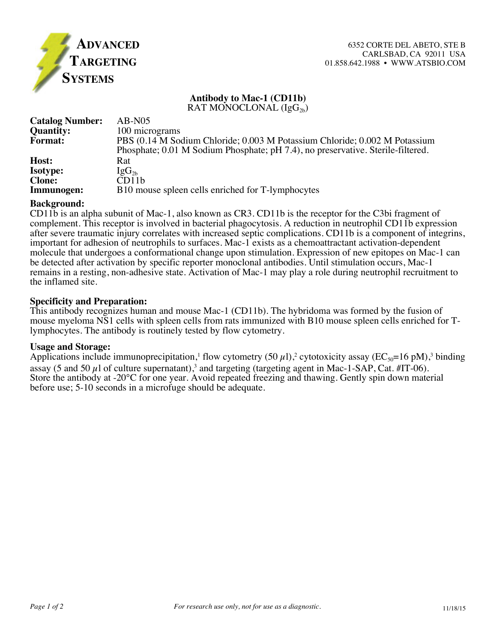

# **Antibody to Mac-1 (CD11b)**

RAT MONOCLONAL  $(IgG_{2b})$ 

| <b>Catalog Number:</b> | $AB-NO5$                                                                        |
|------------------------|---------------------------------------------------------------------------------|
| <b>Quantity:</b>       | 100 micrograms                                                                  |
| <b>Format:</b>         | PBS (0.14 M Sodium Chloride; 0.003 M Potassium Chloride; 0.002 M Potassium      |
|                        | Phosphate; 0.01 M Sodium Phosphate; pH 7.4), no preservative. Sterile-filtered. |
| Host:                  | Rat                                                                             |
| <b>Isotype:</b>        | $\rm{IgG_{2b}}$                                                                 |
| <b>Clone:</b>          | CD11b                                                                           |
| Immunogen:             | B10 mouse spleen cells enriched for T-lymphocytes                               |

#### **Background:**

CD11b is an alpha subunit of Mac-1, also known as CR3. CD11b is the receptor for the C3bi fragment of complement. This receptor is involved in bacterial phagocytosis. A reduction in neutrophil CD11b expression after severe traumatic injury correlates with increased septic complications. CD11b is a component of integrins, important for adhesion of neutrophils to surfaces. Mac-1 exists as a chemoattractant activation-dependent molecule that undergoes a conformational change upon stimulation. Expression of new epitopes on Mac-1 can be detected after activation by specific reporter monoclonal antibodies. Until stimulation occurs, Mac-1 remains in a resting, non-adhesive state. Activation of Mac-1 may play a role during neutrophil recruitment to the inflamed site.

## **Specificity and Preparation:**

This antibody recognizes human and mouse Mac-1 (CD11b). The hybridoma was formed by the fusion of mouse myeloma NS1 cells with spleen cells from rats immunized with B10 mouse spleen cells enriched for Tlymphocytes. The antibody is routinely tested by flow cytometry.

## **Usage and Storage:**

Applications include immunoprecipitation,<sup>1</sup> flow cytometry (50  $\mu$ 1),<sup>2</sup> cytotoxicity assay (EC<sub>50</sub>=16 pM),<sup>3</sup> binding assay (5 and 50  $\mu$ l of culture supernatant),<sup>3</sup> and targeting (targeting agent in Mac-1-SAP, Cat. #IT-06). Store the antibody at -20<sup>o</sup>C for one year. Avoid repeated freezing and thawing. Gently spin down material before use; 5-10 seconds in a microfuge should be adequate.